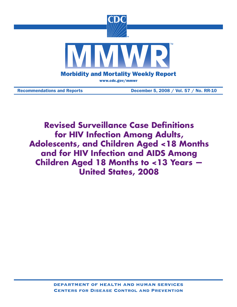

**Revised Surveillance Case Definitions for HIV Infection Among Adults, Adolescents, and Children Aged <18 Months and for HIV Infection and AIDS Among Children Aged 18 Months to <13 Years — United States, 2008**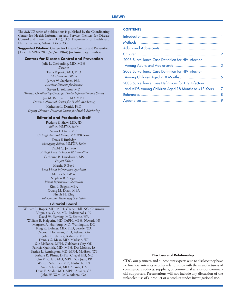#### **MMWR**

The *MMWR* series of publications is published by the Coordinating Center for Health Information and Service, Centers for Disease Control and Prevention (CDC), U.S. Department of Health and Human Services, Atlanta, GA 30333.

**Suggested Citation:** Centers for Disease Control and Prevention. [Title]. MMWR 2008;57(No. RR-#): [inclusive page numbers].

#### **Centers for Disease Control and Prevention**

Julie L. Gerberding, MD, MPH *Director* Tanja Popovic, MD, PhD *Chief Science Officer* James W. Stephens, PhD *Associate Director for Science* Steven L. Solomon, MD *Director, Coordinating Center for Health Information and Service* Jay M. Bernhardt, PhD, MPH *Director, National Center for Health Marketing* Katherine L. Daniel, PhD

*Deputy Director, National Center for Health Marketing*

#### **Editorial and Production Staff**

Frederic E. Shaw, MD, JD *Editor,* MMWR *Series* Susan F. Davis, MD (*Acting*) *Assistant Editor,* MMWR *Series* Teresa F. Rutledge *Managing Editor,* MMWR *Series* David C. Johnson (*Acting*) *Lead Technical Writer-Editor*

Catherine B. Lansdowne, MS *Project Editor* Martha F. Boyd *Lead Visual Information Specialist* Malbea A. LaPete Stephen R. Spriggs *Visual Information Specialists* Kim L. Bright, MBA Quang M. Doan, MBA Phyllis H. King *Information Technology Specialists*

#### **Editorial Board**

William L. Roper, MD, MPH, Chapel Hill, NC, Chairman Virginia A. Caine, MD, Indianapolis, IN David W. Fleming, MD, Seattle, WA William E. Halperin, MD, DrPH, MPH, Newark, NJ Margaret A. Hamburg, MD, Washington, DC King K. Holmes, MD, PhD, Seattle, WA Deborah Holtzman, PhD, Atlanta, GA John K. Iglehart, Bethesda, MD Dennis G. Maki, MD, Madison, WI Sue Mallonee, MPH, Oklahoma City, OK Patricia Quinlisk, MD, MPH, Des Moines, IA Patrick L. Remington, MD, MPH, Madison, WI Barbara K. Rimer, DrPH, Chapel Hill, NC John V. Rullan, MD, MPH, San Juan, PR William Schaffner, MD, Nashville, TN Anne Schuchat, MD, Atlanta, GA Dixie E. Snider, MD, MPH, Atlanta, GA John W. Ward, MD, Atlanta, GA

#### **Contents**

| 2008 Surveillance Case Definition for HIV Infection  |  |
|------------------------------------------------------|--|
|                                                      |  |
| 2008 Surveillance Case Definition for HIV Infection  |  |
|                                                      |  |
| 2008 Surveillance Case Definitions for HIV Infection |  |
| and AIDS Among Children Aged 18 Months to <13 Years7 |  |
|                                                      |  |
|                                                      |  |

#### **Disclosure of Relationship**

CDC, our planners, and our content experts wish to disclose they have no financial interests or other relationships with the manufacturers of commercial products, suppliers, or commercial services, or commercial supporters. Presentations will not include any discussion of the unlabeled use of a product or a product under investigational use.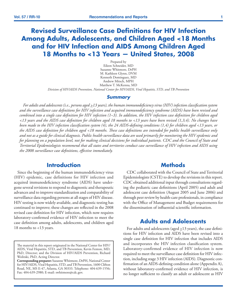# <span id="page-2-0"></span>**Revised Surveillance Case Definitions for HIV Infection Among Adults, Adolescents, and Children Aged <18 Months and for HIV Infection and AIDS Among Children Aged 18 Months to <13 Years — United States, 2008**

Prepared by

Eileen Schneider, MD Suzanne Whitmore, DrPH M. Kathleen Glynn, DVM Kenneth Dominguez, MD Andrew Mitsch, MPH Matthew T. McKenna, MD *Division of HIV/AIDS Prevention, National Center for HIV/AIDS, Viral Hepatitis, STD, and TB Prevention*

#### *Summary*

*For adults and adolescents (i.e., persons aged >13 years), the human immunodeficiency virus (HIV) infection classification system and the surveillance case definitions for HIV infection and acquired immunodeficiency syndrome (AIDS) have been revised and combined into a single case definition for HIV infection (1–3). In addition, the HIV infection case definition for children aged <13 years and the AIDS case definition for children aged 18 months to <13 years have been revised (1,3,4). No changes have been made to the HIV infection classification system (4), the 24 AIDS-defining conditions (1,4) for children aged <13 years, or the AIDS case definition for children aged <18 months. These case definitions are intended for public health surveillance only and not as a guide for clinical diagnosis. Public health surveillance data are used primarily for monitoring the HIV epidemic and for planning on a population level, not for making clinical decisions for individual patients. CDC and the Council of State and Territorial Epidemiologists recommend that all states and territories conduct case surveillance of HIV infection and AIDS using the 2008 surveillance case definitions, effective immediately.*

## **Introduction**

Since the beginning of the human immunodeficiency virus (HIV) epidemic, case definitions for HIV infection and acquired immunodeficiency syndrome (AIDS) have undergone several revisions to respond to diagnostic and therapeutic advances and to improve standardization and comparability of surveillance data regarding persons at all stages of HIV disease. HIV testing is now widely available, and diagnostic testing has continued to improve; these changes are reflected in the 2008 revised case definition for HIV infection, which now requires laboratory-confirmed evidence of HIV infection to meet the case definition among adults, adolescents, and children aged 18 months to <13 years.

# **Methods**

CDC collaborated with the Council of State and Territorial Epidemiologists (CSTE) to develop the revisions in this report. CDC obtained additional input through consultations regarding the pediatric case definitions (April 2005) and adult and adolescent case definition (August 2005 and June 2006) and through peer review by health-care professionals, in compliance with the Office of Management and Budget requirements for the dissemination of influential scientific information.

## **Adults and Adolescents**

For adults and adolescents (aged  $\geq$ 13 years), the case definitions for HIV infection and AIDS have been revised into a single case definition for HIV infection that includes AIDS and incorporates the HIV infection classification system. Laboratory-confirmed evidence of HIV infection is now required to meet the surveillance case definition for HIV infection, including stage 3 HIV infection (AIDS). Diagnostic confirmation of an AIDS-defining condition alone (Appendix A), without laboratory-confirmed evidence of HIV infection, is no longer sufficient to classify an adult or adolescent as HIV

The material in this report originated in the National Center for HIV/ AIDS, Viral Hepatitis, STD, and TB Prevention, Kevin Fenton, MD, PhD, Director; and the Division of HIV/AIDS Prevention, Richard Wolitski, PhD, Acting Director.

**Corresponding preparer:** Suzanne Whitmore, DrPH, National Center for HIV/AIDS, Viral Hepatitis, STD, and TB Prevention, 1600 Clifton Road, NE, MS E-47, Atlanta, GA 30333. Telephone: 404-639-1556; Fax: 404-639-2980; E-mail: [swhitmore@cdc.gov.](mailto:swhitmore@cdc.gov)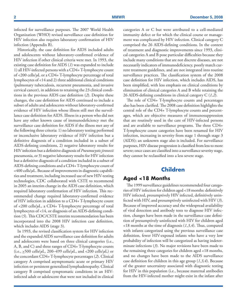<span id="page-3-0"></span>infected for surveillance purposes. The 2007 World Health Organization (WHO) revised surveillance case definition for HIV infection also requires laboratory confirmation of HIV infection (Appendix B).

Historically, the case definition for AIDS included adults and adolescents without laboratory-confirmed evidence of HIV infection if other clinical criteria were met. In 1993, the existing case definition for AIDS (*1*) was expanded to include 1) all HIV-infected persons with a CD4+ T-lymphocyte count of <200 cells/*µ*L or a CD4+ T-lymphocyte percentage of total lymphocytes of <14 and 2) three additional clinical conditions (pulmonary tuberculosis, recurrent pneumonia, and invasive cervical cancer), in addition to retaining the 23 clinical conditions in the previous AIDS case definition (*2*). Despite these changes, the case definition for AIDS continued to include a subset of adults and adolescents without laboratory-confirmed evidence of HIV infection whose illness still met the surveillance case definition for AIDS. Illness in a person who did not have any other known cause of immunodeficiency met the surveillance case definition for AIDS if the illness met any of the following three criteria: 1) no laboratory testing performed or inconclusive laboratory evidence of HIV infection but a definitive diagnosis of a condition included in a subset of AIDS-defining conditions, 2) negative laboratory results for HIV infection but a definitive diagnosis of *Pneumocystis jirovecii* pneumonia, or 3) negative laboratory results for HIV infection but a definitive diagnosis of a condition included in a subset of AIDS-defining conditions and a CD4+ T-lymphocyte count of <400 cells/*µ*L. Because of improvements in diagnostic capabilities and treatment, including increased use of new HIV-testing technologies, CDC collaborated with CSTE to recommend in 2005 an interim change in the AIDS case definition, which required laboratory confirmation of HIV infection. This recommended change required laboratory-confirmed evidence of HIV infection in addition to a CD4+ T-lymphocyte count of <200 cells/*µ*L, a CD4+ T-lymphocyte percentage of total lymphocytes of <14, or diagnosis of an AIDS-defining condition (*5*). This CDC/CSTE interim recommendation has been incorporated into the 2008 HIV infection case definition, which includes AIDS (stage 3).

In 1993, the revised classification system for HIV infection and the expanded AIDS surveillance case definition for adults and adolescents were based on three clinical categories (i.e., A, B, and C) and three ranges of CD4+ T-lymphocyte counts  $(i.e., \geq 500 \text{ cells}/\mu\text{L}, 200-499 \text{ cells}/\mu\text{L}, \text{and} < 200 \text{ cells}/\mu\text{L}$  or the concordant CD4+ T-lymphocyte percentages (*2*). Clinical category A comprised asymptomatic acute or primary HIV infection or persistent generalized lymphadenopathy. Clinical category B comprised symptomatic conditions in an HIVinfected adult or adolescent that were not included in clinical categories A or C but were attributed to a cell-mediated immunity defect or for which the clinical course or management was complicated by HIV infection. Clinical category C comprised the 26 AIDS-defining conditions. In the context of treatment and diagnostic improvements since 1993, clinical categories A and B pose particular difficulties because they include many conditions that are not discrete diseases, are not necessarily indicators of immunodeficiency, poorly match current treatment guidelines, and are not integrated into routine surveillance practices. The classification system of the 2008 case definition for HIV infection, which includes AIDS, has been simplified, with less emphasis on clinical conditions by elimination of clinical categories A and B while retaining the 26 AIDS-defining conditions in clinical category C (*1,2*).

The role of CD4+ T-lymphocyte counts and percentages also has been clarified. The 2008 case definition highlights the central role of the CD4+ T-lymphocyte counts and percentages, which are objective measures of immunosuppression that are routinely used in the care of HIV-infected persons and are available to surveillance programs. The three CD4+ T-lymphocyte count categories have been renamed for HIV infection, increasing in severity from stage 1 through stage 3 (AIDS); an unknown stage also is included. For surveillance purposes, HIV disease progression is classified from less to more severe; once cases are classified into a surveillance severity stage, they cannot be reclassified into a less severe stage.

# **Children**

## **Aged <18 Months**

The 1999 surveillance guidelines recommended four categories of HIV infection for children aged <18 months: definitively HIV infected, presumptively HIV infected, definitively uninfected with HIV, and presumptively uninfected with HIV (*3*). Because of improved accuracy and the widespread availability of viral detection and antibody tests to diagnose HIV infection, changes have been made in the surveillance case definition of presumptively uninfected with HIV for children aged <18 months at the time of diagnosis (*1,3,4*). Thus, compared with infants categorized using the previous surveillance case definition, fewer HIV-exposed infants who have a very low probability of infection will be categorized as having indeterminate infections (*3*). No major revisions have been made to the remaining three categories for children aged <18 months, and no changes have been made to the AIDS surveillance case definition for children in this age group (*1,3,4*). Because of the greater uncertainty associated with diagnostic testing for HIV in this population (i.e., because maternal antibodies from the HIV-infected mother might exist in the infant after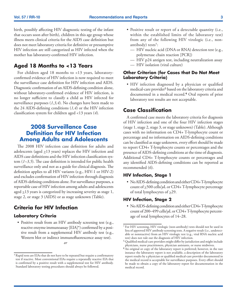<span id="page-4-0"></span>birth, possibly affecting HIV diagnostic testing of the infant that occurs soon after birth), children in this age group whose illness meets clinical criteria for the AIDS case definition but does not meet laboratory criteria for definitive or presumptive HIV infection are still categorized as HIV infected when the mother has laboratory-confirmed HIV infection.

# **Aged 18 Months to <13 Years**

For children aged 18 months to <13 years, laboratoryconfirmed evidence of HIV infection is now required to meet the surveillance case definition for HIV infection and AIDS. Diagnostic confirmation of an AIDS-defining condition alone, without laboratory-confirmed evidence of HIV infection, is no longer sufficient to classify a child as HIV infected for surveillance purposes (*1,3,4*). No changes have been made to the 24 AIDS-defining conditions (*1,4*) or the HIV infection classification system for children aged <13 years (*4*)*.*

# **2008 Surveillance Case Definition for HIV Infection Among Adults and Adolescents**

The 2008 HIV infection case definition for adults and adolescents (aged  $\geq$ 13 years) replaces the HIV infection and AIDS case definitions and the HIV infection classification system (*1–3,5*). The case definition is intended for public health surveillance only and not as a guide for clinical diagnosis. The definition applies to all HIV variants (e.g., HIV-1 or HIV-2) and excludes confirmation of HIV infection through diagnosis of AIDS-defining conditions alone. For surveillance purposes, a reportable case of HIV infection among adults and adolescents aged  $\geq$ 13 years is categorized by increasing severity as stage 1, stage 2, or stage 3 (AIDS) or as stage unknown (Table).

# **Criteria for HIV Infection**

### **Laboratory Criteria**

• Positive result from an HIV antibody screening test (e.g., reactive enzyme immunoassay [EIA]\*) confirmed by a positive result from a supplemental HIV antibody test (e.g., Western blot or indirect immunofluorescence assay test).

*or*

- • Positive result or report of a detectable quantity (i.e., within the established limits of the laboratory test) from any of the following HIV virologic (i.e., nonantibody) tests†:
	- HIV nucleic acid (DNA or RNA) detection test (e.g., polymerase chain reaction [PCR])
	- HIV p24 antigen test, including neutralization assay
	- HIV isolation (viral culture)

## **Other Criterion (for Cases that Do Not Meet Laboratory Criteria)**

• HIV infection diagnosed by a physician or qualified medical-care provider§ based on the laboratory criteria and documented in a medical record.¶ Oral reports of prior laboratory test results are not acceptable.

# **Case Classification**

A confirmed case meets the laboratory criteria for diagnosis of HIV infection and one of the four HIV infection stages (stage 1, stage 2, stage 3, or stage unknown) (Table). Although cases with no information on CD4+ T-lymphocyte count or percentage and no information on AIDS-defining conditions can be classified as stage unknown, every effort should be made to report CD4+ T-lymphocyte counts or percentages and the presence of AIDS-defining conditions at the time of diagnosis. Additional CD4+ T-lymphocyte counts or percentages and any identified AIDS-defining conditions can be reported as recommended (*6*).

#### **HIV Infection, Stage 1**

• No AIDS-defining condition and either CD4+T-lymphocyte count of  $\geq$ 500 cells/ $\mu$ L or CD4+ T-lymphocyte percentage of total lymphocytes of  $\geq$ 29.

#### **HIV Infection, Stage 2**

• No AIDS-defining condition and either CD4+ T-lymphocyte count of 200–499 cells/*µ*L or CD4+ T-lymphocyte percentage of total lymphocytes of 14–28.

<sup>\*</sup>Rapid tests are EIAs that do not have to be repeated but require a confirmatory test if reactive. Most conventional EIAs require a repeatedly reactive EIA that is confirmed by a positive result with a supplemental test for HIV antibody. Standard laboratory testing procedures should always be followed.

<sup>†</sup> For HIV screening, HIV virologic (non-antibody) tests should not be used in lieu of approved HIV antibody screening tests. A negative result (i.e., undetectable or nonreactive) from an HIV virologic test (e.g., viral RNA nucleic acid test) does not rule out the diagnosis of HIV infection.

<sup>§</sup> Qualified medical-care providers might differ by jurisdiction and might include physicians, nurse practitioners, physician assistants, or nurse midwives.

<sup>¶</sup> An original or copy of the laboratory report is preferred; however, in the rare instance the laboratory report is not available, a description of the laboratory report results by a physician or qualified medical-care provider documented in the medical record is acceptable for surveillance purposes. Every effort should be made to obtain a copy of the laboratory report for documentation in the medical record.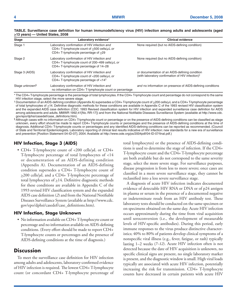| <b>Stage</b>               | Laboratory evidence*                                                                                                                                     | <b>Clinical evidence</b>                                                                                       |
|----------------------------|----------------------------------------------------------------------------------------------------------------------------------------------------------|----------------------------------------------------------------------------------------------------------------|
| Stage 1                    | Laboratory confirmation of HIV infection and<br>CD4+ T-lymphocyte count of $>500$ cells/ $\mu$ L or<br>$CD4+T$ -lymphocyte percentage of $>29$           | None required (but no AIDS-defining condition)                                                                 |
| Stage 2                    | Laboratory confirmation of HIV infection and<br>CD4+ T-lymphocyte count of 200-499 cells/ $\mu$ L or<br>CD4+T-lymphocyte percentage of 14-28             | None required (but no AIDS-defining condition)                                                                 |
| Stage 3 (AIDS)             | Laboratory confirmation of HIV infection and<br>CD4+ T-lymphocyte count of <200 cells/ $\mu$ L or<br>CD4+ T-lymphocyte percentage of $<$ 14 <sup>†</sup> | or documentation of an AIDS-defining condition<br>(with laboratory confirmation of HIV infection) <sup>†</sup> |
| Stage unknown <sup>§</sup> | Laboratory confirmation of HIV infection and<br>no information on CD4+ T-lymphocyte count or percentage                                                  | and no information on presence of AIDS-defining conditions                                                     |

#### **TABLE. Surveillance case definition for human immunodeficiency virus (HIV) infection among adults and adolescents (aged >13 years) — United States, 2008**

\* The CD4+ T-lymphocyte percentage is the percentage of total lymphocytes. If the CD4+ T-lymphocyte count and percentage do not correspond to the same HIV infection stage, select the more severe stage.

† Documentation of an AIDS-defining condition (Appendix A) supersedes a CD4+ T-lymphocyte count of >200 cells/*µ*L and a CD4+ T-lymphocyte percentage of total lymphocytes of >14. Definitive diagnostic methods for these conditions are available in Appendix C of the 1993 revised HIV classification system and the expanded AIDS case definition (CDC. 1993 Revised classification system for HIV infection and expanded surveillance case definition for AIDS among adolescents and adults. MMWR 1992;41[No. RR-17]) and from the National Notifiable Diseases Surveillance System (available at [http://www.cdc.](http://www.cdc.gov/epo/dphsi/casedef/case_definitions.htm) [gov/epo/dphsi/casedef/case\\_definitions.htm\)](http://www.cdc.gov/epo/dphsi/casedef/case_definitions.htm).

§ Although cases with no information on CD4+ T-lymphocyte count or percentage or on the presence of AIDS-defining conditions can be classified as stage unknown, every effort should be made to report CD4+ T-lymphocyte counts or percentages and the presence of AIDS-defining conditions at the time of diagnosis. Additional CD4+ T-lymphocyte counts or percentages and any identified AIDS-defining conditions can be reported as recommended. (Council of State and Territorial Epidemiologists. Laboratory reporting of clinical test results indicative of HIV infection: new standards for a new era of surveillance and prevention [Position Statement 04-ID-07]; 2004. Available at <http://www.cste.org/ps/2004pdf/04-ID-07-final.pdf>.)

## **HIV Infection, Stage 3 (AIDS)**

• CD4+ T-lymphocyte count of <200 cells/ $\mu$ L or CD4+ T-lymphocyte percentage of total lymphocytes of <14 or documentation of an AIDS-defining condition (Appendix A). Documentation of an AIDS-defining condition supersedes a CD4+ T-lymphocyte count of  $\geq$ 200 cells/ $\mu$ L and a CD4+ T-lymphocyte percentage of total lymphocytes of  $\geq$ 14. Definitive diagnostic methods for these conditions are available in Appendix C of the 1993 revised HIV classification system and the expanded AIDS case definition (*2*) and from the National Notifiable Diseases Surveillance System (available at [http://www.cdc.](http://www.cdc.gov/epo/dphsi/casedef/case_definitions.htm) [gov/epo/dphsi/casedef/case\\_definitions.htm](http://www.cdc.gov/epo/dphsi/casedef/case_definitions.htm)).

## **HIV Infection, Stage Unknown**

• No information available on CD4+ T-lymphocyte count or percentage and no information available on AIDS-defining conditions. (Every effort should be made to report CD4+ T-lymphocyte counts or percentages and the presence of AIDS-defining conditions at the time of diagnosis.)

# **Discussion**

To meet the surveillance case definition for HIV infection among adults and adolescents, laboratory-confirmed evidence of HIV infection is required. The lowest CD4+ T-lymphocyte count (or concordant CD4+ T-lymphocyte percentage of total lymphocytes) or the presence of AIDS-defining conditions is used to determine the stage of infection. If the CD4+ T-lymphocyte count and the CD4+ T-lymphocyte percentage are both available but do not correspond to the same severity stage, select the more severe stage. For surveillance purposes, disease progression is from less to more severe; once cases are classified in a more severe surveillance stage, they cannot be reclassified into a less severe surveillance stage.

A diagnosis of acute HIV infection indicates documented evidence of detectable HIV RNA or DNA or of p24 antigen in plasma or serum in the presence of a documented negative or indeterminate result from an HIV antibody test. These laboratory tests should be conducted on the same specimen or on specimens obtained on the same day. Acute HIV infection occurs approximately during the time from viral acquisition until seroconversion (i.e., the development of measurable levels of HIV-specific antibodies). During this period, early immune responses to the virus produce distinctive characteristics; 40% to 80% of patients develop clinical symptoms of a nonspecific viral illness (e.g., fever, fatigue, or rash) typically lasting 1–2 weeks (*7–12*). Acute HIV infection often is not detected because the date of HIV acquisition is unknown, no specific clinical signs are present, no single laboratory marker is present, and the diagnostic window is small. High viral loads typically are associated with acute HIV infection, potentially increasing the risk for transmission. CD4+ T-lymphocyte counts have decreased in certain patients with acute HIV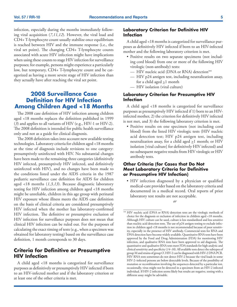<span id="page-6-0"></span>infection, especially during the months immediately following viral acquisition (*7,11,12*). However, the viral load and CD4+ T-lymphocyte count usually stabilize once equilibrium is reached between HIV and the immune response (i.e., the viral set point). The changing CD4+ T-lymphocyte counts associated with acute HIV infection might have implications when using these counts to stage HIV infection for surveillance purposes; for example, persons might experience a particularly low, but temporary, CD4+ T-lymphocyte count and be categorized as having a more severe stage of HIV infection than they actually have after reaching the viral set point.

# **2008 Surveillance Case Definition for HIV Infection Among Children Aged <18 Months**

The 2008 case definition of HIV infection among children aged <18 months replaces the definition published in 1999 (*3*) and applies to all variants of HIV (e.g., HIV-1 or HIV-2). The 2008 definition is intended for public health surveillance only and not as a guide for clinical diagnosis.

The 2008 definition takes into account new available testing technologies. Laboratory criteria for children aged <18 months at the time of diagnosis include revisions to one category: presumptively uninfected with HIV. No substantial changes have been made to the remaining three categories (definitively HIV infected, presumptively HIV infected, and definitively uninfected with HIV), and no changes have been made to the conditions listed under the AIDS criteria in the 1987 pediatric surveillance case definition for AIDS for children aged <18 months (*1,3,13*). Because diagnostic laboratory testing for HIV infection among children aged <18 months might be unreliable, children in this age group with perinatal HIV exposure whose illness meets the AIDS case definition on the basis of clinical criteria are considered presumptively HIV infected when the mother has laboratory-confirmed HIV infection. The definitive or presumptive exclusion of HIV infection for surveillance purposes does not mean that clinical HIV infection can be ruled out. For the purposes of calculating the exact timing of tests (e.g., when a specimen was obtained for laboratory testing) based on the surveillance case definition, 1 month corresponds to 30 days.

# **Criteria for Definitive or Presumptive HIV Infection**

A child aged <18 months is categorized for surveillance purposes as definitively or presumptively HIV infected if born to an HIV-infected mother and if the laboratory criterion or at least one of the other criteria is met.

### **Laboratory Criterion for Definitive HIV Infection**

A child aged <18 months is categorized for surveillance purposes as definitively HIV infected if born to an HIV-infected mother and the following laboratory criterion is met.

- Positive results on two separate specimens (not including cord blood) from one or more of the following HIV virologic (non-antibody) tests:
	- HIV nucleic acid (DNA or RNA) detection\*\*
	- HIV p24 antigen test, including neutralization assay, for a child aged  $\geq 1$  month
	- HIV isolation (viral culture)

## **Laboratory Criterion for Presumptive HIV Infection**

A child aged <18 months is categorized for surveillance purposes as presumptively HIV infected if 1) born to an HIVinfected mother, 2) the criterion for definitively HIV infected is not met, and 3) the following laboratory criterion is met.

• Positive results on one specimen (not including cord blood) from the listed HIV virologic tests (HIV nucleic acid detection test; HIV p24 antigen test, including neutralization assay, for a child aged  $\geq 1$  month; or HIV isolation [viral culture] for definitively HIV infected) and no subsequent negative results from HIV virologic or HIV antibody tests.

## **Other Criteria (for Cases that Do Not Meet Laboratory Criteria for Definitive or Presumptive HIV Infection)**

• HIV infection diagnosed by a physician or qualified medical-care provider based on the laboratory criteria and documented in a medical record. Oral reports of prior laboratory test results are not acceptable.

#### *or*

<sup>\*\*</sup> HIV nucleic acid (DNA or RNA) detection tests are the virologic methods of choice for the diagnosis or exclusion of infection in children aged <18 months. Although HIV culture can be used, culture is less standardized and less sensitive than nucleic acid detection tests. The use of p24 antigen testing to exclude infection in children aged <18 months is not recommended because of poor sensitivity, especially in the presence of HIV antibody. Commercial tests for RNA and DNA detection have become widely available. Quantitative RNA tests have been approved by the Food and Drug Administration (FDA) for monitoring HIV infection, and qualitative RNA tests have been approved to aid diagnosis. The quantitative and qualitative RNA tests meet FDA standards for high analytic and clinical sensitivity and specificity (*14–16*). All available tests detect the subtypes of group M and strains of group O. HIV-2 can be diagnosed with HIV-2 DNA PCR. HIV RNA tests sometimes do not detect HIV-2 because the viral loads in some HIV-2–infected persons are below detectable levels. Because of the possibility of mutation or recombination involving the sequences detected by a particular test, occasionally, virus might not be detected in a specimen from an HIV-2 infected individual. If HIV-2 infection seems likely but results are negative, testing with a different assay might be advisable.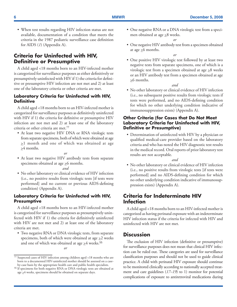• When test results regarding HIV infection status are not available, documentation of a condition that meets the criteria in the 1987 pediatric surveillance case definition for AIDS (*1*) (Appendix A).

# **Criteria for Uninfected with HIV, Definitive or Presumptive**

A child aged <18 months born to an HIV-infected mother is categorized for surveillance purposes as either definitively or presumptively uninfected with HIV if 1) the criteria for definitive or presumptive HIV infection are not met and 2) at least one of the laboratory criteria or other criteria are met.

## **Laboratory Criteria for Uninfected with HIV, Definitive**

A child aged <18 months born to an HIV-infected mother is categorized for surveillance purposes as definitively uninfected with HIV if 1) the criteria for definitive or presumptive HIV infection are not met and 2) at least one of the laboratory criteria or other criteria are met.††

• At least two negative HIV DNA or RNA virologic tests from separate specimens, both of which were obtained at age  $\geq$ 1 month and one of which was obtained at age >4 months.

*or*

• At least two negative HIV antibody tests from separate specimens obtained at age  $\geq 6$  months.

*and*

• No other laboratory or clinical evidence of HIV infection (i.e., no positive results from virologic tests [if tests were performed] and no current or previous AIDS-defining condition) (Appendix A).

## **Laboratory Criteria for Uninfected with HIV, Presumptive**

A child aged <18 months born to an HIV-infected mother is categorized for surveillance purposes as presumptively uninfected with HIV if 1) the criteria for definitively uninfected with HIV are not met and 2) at least one of the laboratory criteria are met.

• Two negative RNA or DNA virologic tests, from separate specimens, both of which were obtained at age  $\geq$  weeks and one of which was obtained at age  $\geq 4$  weeks.<sup>§§</sup>

*or*

• One negative RNA or a DNA virologic test from a specimen obtained at age  $\geq 8$  weeks.

*or*

• One negative HIV antibody test from a specimen obtained at age  $\geq 6$  months.

*or*

• One positive HIV virologic test followed by at least two negative tests from separate specimens, one of which is a virologic test from a specimen obtained at age  $\geq 8$  weeks or an HIV antibody test from a specimen obtained at age >6 months.

*and*

• No other laboratory or clinical evidence of HIV infection (i.e., no subsequent positive results from virologic tests if tests were performed, and no AIDS-defining condition for which no other underlying condition indicative of immunosuppression exists) (Appendix A).

## **Other Criteria (for Cases that Do Not Meet Laboratory Criteria for Uninfected with HIV, Definitive or Presumptive)**

• Determination of uninfected with HIV by a physician or qualified medical-care provider based on the laboratory criteria and who has noted the HIV diagnostic test results in the medical record. Oral reports of prior laboratory test results are not acceptable.

*and*

• No other laboratory or clinical evidence of HIV infection (i.e., no positive results from virologic tests [if tests were performed] and no AIDS-defining condition for which no other underlying condition indicative of immunosuppression exists) (Appendix A).

# **Criteria for Indeterminate HIV Infection**

A child aged <18 months born to an HIV-infected mother is categorized as having perinatal exposure with an indeterminate HIV infection status if the criteria for infected with HIV and uninfected with HIV are not met.

# **Discussion**

The exclusion of HIV infection (definitive or presumptive) for surveillance purposes does not mean that clinical HIV infection can be ruled out. These categories are used for surveillance classification purposes and should not be used to guide clinical practice. A child with perinatal HIV exposure should continue to be monitored clinically according to nationally accepted treatment and care guidelines (*17–19*) to 1) monitor for potential complications of exposure to antiretroviral medications during

<sup>††</sup> Suspected cases of HIV infection among children aged <18 months who are born to a documented HIV-uninfected mother should be assessed on a caseby-case basis by the appropriate health care and public health specialists.

<sup>§§</sup> If specimens for both negative RNA or DNA virologic tests are obtained at age  $\geq$ 4 weeks, specimens should be obtained on separate days.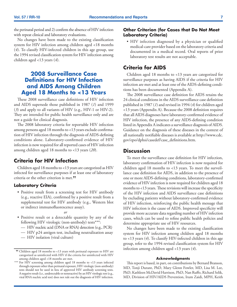<span id="page-8-0"></span>the perinatal period and 2) confirm the absence of HIV infection with repeat clinical and laboratory evaluations.

No changes have been made to the existing classification system for HIV infection among children aged <18 months (*4*). To classify HIV-infected children in this age group, use the 1994 revised classification system for HIV infection among children aged <13 years (*4*).

# **2008 Surveillance Case Definitions for HIV Infection and AIDS Among Children Aged 18 Months to <13 Years**

These 2008 surveillance case definitions of HIV infection and AIDS supersede those published in 1987 (*1*) and 1999 (*3*) and apply to all variants of HIV (e.g., HIV-1 or HIV-2). They are intended for public health surveillance only and are not a guide for clinical diagnosis.

The 2008 laboratory criteria for reportable HIV infection among persons aged 18 months to <13 years exclude confirmation of HIV infection through the diagnosis of AIDS-defining conditions alone. Laboratory-confirmed evidence of HIV infection is now required for all reported cases of HIV infection among children aged 18 months to <13 years (*20*).

# **Criteria for HIV Infection**

Children aged 18 months to <13 years are categorized as HIV infected for surveillance purposes if at least one of laboratory criteria or the other criterion is met.<sup>99</sup>

## **Laboratory Criteria**

• Positive result from a screening test for HIV antibody (e.g., reactive EIA), confirmed by a positive result from a supplemental test for HIV antibody (e.g., Western blot or indirect immunofluorescence assay).

#### *or*

- • Positive result or a detectable quantity by any of the following HIV virologic (non-antibody) tests\*\*\*:
	- HIV nucleic acid (DNA or RNA) detection (e.g., PCR)
	- HIV p24 antigen test, including neutralization assay
	- HIV isolation (viral culture)

### **Other Criterion (for Cases that Do Not Meet Laboratory Criteria)**

• HIV infection diagnosed by a physician or qualified medical-care provider based on the laboratory criteria and documented in a medical record. Oral reports of prior laboratory test results are not acceptable.

## **Criteria for AIDS**

Children aged 18 months to <13 years are categorized for surveillance purposes as having AIDS if the criteria for HIV infection are met and at least one of the AIDS-defining conditions has been documented (Appendix A).

The 2008 surveillance case definition for AIDS retains the 24 clinical conditions in the AIDS surveillance case definition published in 1987 (*1*) and revised in 1994 (*4*) for children aged <13 years (Appendix A). Because the 2008 definition requires that all AIDS diagnoses have laboratory-confirmed evidence of HIV infection, the presence of any AIDS-defining condition listed in Appendix A indicates a surveillance diagnosis of AIDS. Guidance on the diagnosis of these diseases in the context of all nationally notifiable diseases is available at [http://www.cdc.](http://www.cdc.gov/epo/dphsi/casedef/case_definitions.htm) [gov/epo/dphsi/casedef/case\\_definitions.htm](http://www.cdc.gov/epo/dphsi/casedef/case_definitions.htm).

## **Discussion**

To meet the surveillance case definition for HIV infection, laboratory confirmation of HIV infection is now required for children aged 18 months to <13 years. To meet the surveillance case definition for AIDS, in addition to the presence of one or more AIDS-defining conditions, laboratory-confirmed evidence of HIV infection is now required for children aged 18 months to <13 years. These revisions will increase the specificity of the HIV infection and AIDS surveillance case definitions by excluding patients without laboratory-confirmed evidence of HIV infection, reinforcing the public health message that HIV infection is the cause of AIDS. Improved specificity will provide more accurate data regarding number of HIV infection cases, which can be used to refine public health policies and determine appropriate use of HIV resources.

No changes have been made to the existing classification system for HIV infection among children aged 18 months to <13 years (*4*). To classify HIV-infected children in this age group, refer to the 1994 revised classification system for HIV infection among children aged <13 years (*4*).

#### **Acknowledgments**

This report is based, in part, on contributions by Bernard Branson, MD, Tonji Durant, PhD, Mary Glenn Fowler, MD, Lisa M. Lee, PhD, Kathleen McDavid Harrison, PhD, Nan Ruffo, Richard Selik, MD, Division of HIV/AIDS Prevention, Irum Zaidi, MPH, Keith

<sup>¶¶</sup> Children aged 18 months to <13 years with perinatal exposure to HIV are categorized as uninfected with HIV if the criteria for uninfected with HIV among children aged <18 months are met.

<sup>\*\*\*</sup> For HIV screening among children aged 18 months to <13 years infected through exposure other than perinatal exposure, HIV virologic (non-antibody) tests should not be used in lieu of approved HIV antibody screening tests. A negative result (i.e., undetectable or nonreactive) by an HIV virologic test (e.g., viral RNA nucleic acid test) does not rule out the diagnosis of HIV infection.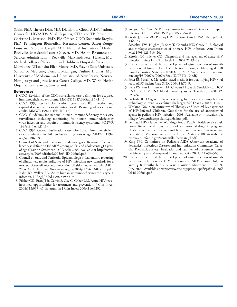<span id="page-9-0"></span>Sabin, PhD, Theresa Diaz, MD, Division of Global AIDS, National Center for HIV/AIDS, Viral Hepatitis, STD, and TB Prevention, Christine L. Mattson, PhD, EIS Officer, CDC; Stephanie Broyles, PhD, Pennington Biomedical Research Center, Baton Rouge, Louisiana; Victoria Cargill, MD, National Institutes of Health, Rockville, Maryland; Laura Cheever, MD, Health Resources and Services Administration, Rockville, Maryland; Peter Havens, MD, Medical College of Wisconsin and Children's Hospital of Wisconsin, Milwaukee, Wisconsin; Ellen Moore, MD, Wayne State University School of Medicine, Detroit, Michigan; Pauline Thomas, MD, University of Medicine and Dentistry of New Jersey, Newark, New Jersey; and Jesus Maria Garcia Calleja, MD, World Health Organization, Geneva, Switzerland.

#### **References**

- 1. CDC. Revision of the CDC surveillance case definition for acquired immunodeficiency syndrome. MMWR 1987;36(Suppl 1):1–15.
- 2. CDC. 1993 Revised classification system for HIV infection and expanded surveillance case definition for AIDS among adolescents and adults. MMWR 1992;41(No. RR-17).
- 3. CDC. Guidelines for national human immunodeficiency virus case surveillance, including monitoring for human immunodeficiency virus infection and acquired immunodeficiency syndrome. MMWR 1999;48(No. RR-13).
- 4. CDC. 1994 Revised classification system for human immunodeficiency virus infection in children less than 13 years of age. MMWR 1994; 43(No. RR-12).
- 5. Council of State and Territorial Epidemiologists. Revision of surveillance case definition for AIDS among adults and adolescents  $\geq$ 13 years of age (Position Statement 05-ID-04); 2005. Available at [http://www.](http://www.cste.org/ps/2005pdf/final2005/05-ID-04final.pdf) [cste.org/ps/2005pdf/final2005/05-ID-04final.pdf](http://www.cste.org/ps/2005pdf/final2005/05-ID-04final.pdf).
- 6. Council of State and Territorial Epidemiologists. Laboratory reporting of clinical test results indicative of HIV infection: new standards for a new era of surveillance and prevention (Position Statement 04-ID-07); 2004. Available at [http://www.cste.org/ps/2004pdf/04-ID-07-final.pdf.](http://www.cste.org/ps/2004pdf/04-ID-07-final.pdf)
- 7. Kahn JO, Walker BD. Acute human immunodeficiency virus type 1 infection. N Engl J Med 1998;339:33–9.
- 8. Pilcher CD, Eron JJ Jr, Galvin S, Gay C, Cohen MS. Acute HIV revisited: new opportunities for treatment and prevention. J Clin Invest 2004;113:937–45. Erratum in: J Clin Invest 2006;116:3292.
- 9. Soogoor M, Daar ES. Primary human immunodeficiency virus type 1 infection. Curr HIV/AIDS Rep 2005;2:55–60.
- 10. Stekler J, Collier AC. Primary HIV infection. Curr HIV/AIDS Rep 2004; 1:68–73.
- 11. Schacker TW, Hughes JP, Shea T, Coombs RW, Corey L. Biological and virologic characteristics of primary HIV infection. Ann Intern Med 1998;128:613–20.
- 12. Zetola NM, Pilcher CD. Diagnosis and management of acute HIV infection. Infect Dis Clin North Am 2007;21:19–48.
- 13. Council of State and Territorial Epidemiologists. Revision of surveillance case definition for HIV infection among children aged <18 months (Position Statement 07-ID-10); 2007. Available at [http://www.](http://www.cste.org/PS/2007ps/2007psfinal/ID/07-ID-10.pdf) [cste.org/PS/2007ps/2007psfinal/ID/07-ID-10.pdf.](http://www.cste.org/PS/2007ps/2007psfinal/ID/07-ID-10.pdf)
- 14. Peter JB, Sevall JS. Molecular-based methods for quantifying HIV viral load. AIDS Patient Care STDs 2004;18:75–9.
- 15. Lelie PN, van Drimmelen HA, Cuypers HT, et al. Sensitivity of HCV RNA and HIV RNA blood screening assays. Transfusion 2002;42: 527–36.
- 16. Gallarda JL, Dragon E. Blood screening by nucleic acid amplification technology: current issues, future challenges. Mol Diagn 2000;5:11–22.
- 17. Working Group on Antiretroviral Therapy and Medical Management of HIV-Infected Children. Guidelines for the use of antiretroviral agents in pediatric HIV infection; 2008. Available at [http://aidsinfo.](http://aidsinfo.nih.gov/contentfiles/pediatricguidelines.pdf) [nih.gov/contentfiles/pediatricguidelines.pdf.](http://aidsinfo.nih.gov/contentfiles/pediatricguidelines.pdf)
- 18. Perinatal HIV Guidelines Working Group; Public Health Service Task Force. Recommendations for use of antiretroviral drugs in pregnant HIV-infected women for maternal health and interventions to reduce perinatal HIV transmission in the United States; 2008. Available at [http://aidsinfo.nih.gov/contentfiles/perinatalgl.pdf.](http://aidsinfo.nih.gov/contentfiles/perinatalgl.pdf)
- 19. King SM, Committee on Pediatric AIDS (American Academy of Pediatrics), Infectious Diseases and Immunization Committee (Canadian Paediatric Society). Evaluation and treatment of the human immunodeficiency virus-1–exposed infant. Pediatrics 2004;114:497–505.
- 20. Council of State and Territorial Epidemiologists. Revision of surveillance case definition for HIV infection and AIDS among children aged  $\geq$ 18 months but <13 years (Position Statement 06-ID-02). June 2006. Available at [http://www.cste.org/ps/2006pdfs/psfinal2006/](http://www.cste.org/ps/2006pdfs/psfinal2006/06-id-02final.pdf) [06-id-02final.pdf.](http://www.cste.org/ps/2006pdfs/psfinal2006/06-id-02final.pdf)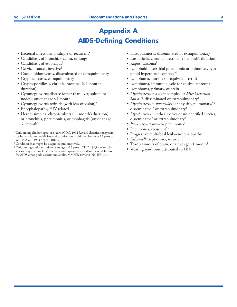# **Appendix A AIDS-Defining Conditions**

- Bacterial infections, multiple or recurrent\*
- Candidiasis of bronchi, trachea, or lungs
- Candidiasis of esophagus<sup>†</sup>
- Cervical cancer, invasive<sup>§</sup>
- Coccidioidomycosis, disseminated or extrapulmonary
- • Cryptococcosis, extrapulmonary
- • Cryptosporidiosis, chronic intestinal (>1 month's duration)
- Cytomegalovirus disease (other than liver, spleen, or nodes), onset at age >1 month
- Cytomegalovirus retinitis (with loss of vision)<sup>†</sup>
- Encephalopathy, HIV related
- Herpes simplex: chronic ulcers (>1 month's duration) or bronchitis, pneumonitis, or esophagitis (onset at age >1 month)
- Histoplasmosis, disseminated or extrapulmonary
- Isosporiasis, chronic intestinal (>1 month's duration)
- Kaposi sarcoma†
- Lymphoid interstitial pneumonia or pulmonary lymphoid hyperplasia complex\*†
- • Lymphoma, Burkitt (or equivalent term)
- • Lymphoma, immunoblastic (or equivalent term)
- Lymphoma, primary, of brain
- *• Mycobacterium avium* complex or *Mycobacterium kansasii,* disseminated or extrapulmonary†
- *• Mycobacterium tuberculosis* of any site, pulmonary,†§ disseminated,† or extrapulmonary†
- *Mycobacterium*, other species or unidentified species, disseminated† or extrapulmonary†
- *• Pneumocystis jirovecii* pneumonia†
- Pneumonia, recurrent<sup>†§</sup>
- • Progressive multifocal leukoencephalopathy
- *• Salmonella* septicemia, recurrent
- Toxoplasmosis of brain, onset at age >1 month<sup>†</sup>
- Wasting syndrome attributed to HIV

<sup>\*</sup>Only among children aged <13 years. (CDC. 1994 Revised classification system for human immunodeficiency virus infection in children less than 13 years of age. MMWR 1994;43[No. RR-12].)

<sup>†</sup> Condition that might be diagnosed presumptively.

 $\%$  Only among adults and adolescents aged  $\geq$ 13 years. (CDC. 1993 Revised classification system for HIV infection and expanded surveillance case definition for AIDS among adolescents and adults. MMWR 1992;41[No. RR-17].)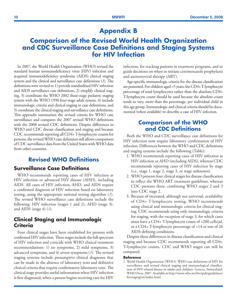# **Appendix B**

# **Comparison of the Revised World Health Organization and CDC Surveillance Case Definitions and Staging Systems for HIV Infection**

In 2007, the World Health Organization (WHO) revised the standard human immunodeficiency virus (HIV) infection and acquired immunodeficiency syndrome (AIDS) clinical staging system and the clinical and surveillance case definitions (*1*). The definitions were revised to 1) provide standardized HIV infection and AIDS surveillance case definitions, 2) simplify clinical staging, 3) coordinate the WHO 2002 three-stage pediatric staging system with the WHO 1990 four-stage adult system, 4) include immunologic criteria and clinical staging in case definitions, and 5) coordinate the clinical staging and surveillance case definitions. This appendix summarizes the revised criteria for WHO case surveillance and compares the 2007 revised WHO definitions with the 2008 revised CDC definitions. Despite differences in WHO and CDC disease classification and staging and because CDC recommends reporting all CD4+ T-lymphocyte counts for persons, the revised WHO case definition still allows comparison of CDC surveillance data from the United States with WHO data from other countries.

# **Revised WHO Definitions**

# **Surveillance Case Definitions**

WHO recommends reporting cases of HIV infection as HIV infection or advanced HIV disease (AHD), including AIDS. All cases of HIV infection, AHD, and AIDS require a confirmed diagnosis of HIV infection based on laboratory testing, using the appropriate national testing algorithm (*1*). The revised WHO surveillance case definitions include the following: HIV infection (stages 1 and 2), AHD (stage 3), and AIDS (stage 4) (*1*).

# **Clinical Staging and Immunologic Criteria**

Four clinical stages have been established for persons with confirmed HIV infection. These stages include the full spectrum of HIV infection and coincide with WHO clinical treatment recommendations: 1) no symptoms, 2) mild symptoms, 3) advanced symptoms, and 4) severe symptoms (*1*). The revised staging systems include presumptive clinical diagnoses that can be made in the absence of laboratory tests and definitive clinical criteria that require confirmatory laboratory tests. The clinical stage provides useful information when HIV infection is first diagnosed, when a person begins receiving care for HIV infection, for tracking patients in treatment programs, and to guide decisions on when to initiate cotrimoxazole prophylaxis and antiretroviral therapy (ART).

Age-specific immunologic criteria for the disease classification are presented. For children aged <5 years, the CD4+ T-lymphocyte percentage of total lymphocytes rather than the absolute CD4+ T-lymphocyte count should be used because the absolute count tends to vary, more than the percentage, per individual child in this age group. Immunologic and clinical criteria should be documented (when available) to describe a case of HIV infection.

# **Comparison of the WHO and CDC Definitions**

Both the WHO and CDC surveillance case definitions for HIV infection now require laboratory confirmation of HIV infection. Differences between the WHO and CDC definitions and staging systems include the following (Table):

- 1. WHO recommends reporting cases of HIV infection as HIV infection or AHD (including AIDS), whereas CDC recommends reporting cases of HIV infection by stage (i.e., stage 1, stage 2, stage 3, or stage unknown).
- 2. WHO presents four clinical stages for disease classification to reflect the WHO ART treatment guidelines, whereas CDC presents three, combining WHO stages 2 and 3 into CDC stage 2.
- 3. Because of increased, although not universal, availability of CD4+ T-lymphocyte testing, WHO recommends using clinical and immunologic criteria for clinical staging. CDC recommends using only immunologic criteria for staging, with the exception of stage 3, for which cases must have a CD4+ T-lymphocyte count of <200 cells/*µ*L or a CD4+ T-lymphocyte percentage of <14 or one of 26 AIDS-defining conditions.

Despite these differences in disease classification and clinical staging and because CDC recommends reporting all CD4+ T-lymphocyte counts, CDC and WHO stages can still be compared.

#### **Reference**

1. World Health Organization (WHO). WHO case definitions of HIV for surveillance and revised clinical staging and immunological classification of HIV-related disease in adults and children. Geneva, Switzerland: WHO Press; 2007. Available at [http://www.who.int/hiv/pub/guidelines/](http://www.who.int/hiv/pub/guidelines/hivstaging/en/index.html) [hivstaging/en/index.html](http://www.who.int/hiv/pub/guidelines/hivstaging/en/index.html).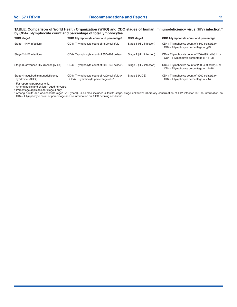#### **TABLE. Comparison of World Health Organization (WHO) and CDC stages of human immunodeficiency virus (HIV) infection,\* by CD4+ T-lymphocyte count and percentage of total lymphocytes**

| WHO stage <sup>†</sup>                                 | WHO T-lymphocyte count and percentage <sup>§</sup>                                                                | CDC stage <sup>11</sup> | CDC T-lymphocyte count and percentage                                                          |
|--------------------------------------------------------|-------------------------------------------------------------------------------------------------------------------|-------------------------|------------------------------------------------------------------------------------------------|
| Stage 1 (HIV infection)                                | CD4+ T-lymphocyte count of $>500$ cells/ $\mu$ L                                                                  | Stage 1 (HIV infection) | CD4+ T-lymphocyte count of $>500$ cells/ $\mu$ L or<br>$CD4+T$ -lymphocyte percentage of $>29$ |
| Stage 2 (HIV infection)                                | CD4+ T-lymphocyte count of 350-499 cells/ $\mu$ L                                                                 | Stage 2 (HIV infection) | CD4+ T-lymphocyte count of 200-499 cells/ $\mu$ L or<br>CD4+T-lymphocyte percentage of 14-28   |
| Stage 3 (advanced HIV disease [AHD])                   | CD4+ T-lymphocyte count of 200-349 cells/ $\mu$ L                                                                 | Stage 2 (HIV infection) | CD4+ T-lymphocyte count of 200-499 cells/ $\mu$ L or<br>CD4+T-lymphocyte percentage of 14-28   |
| Stage 4 (acquired immunodeficiency<br>syndrome [AIDS]) | CD4+ T-lymphocyte count of $\langle 200 \text{ cells}/\mu\text{L}$ or<br>$CD4+T$ -lymphocyte percentage of $<$ 15 | Stage 3 (AIDS)          | CD4+ T-lymphocyte count of <200 cells/ $\mu$ L or<br>$CD4+T$ -lymphocyte percentage of $<$ 14  |

\* For reporting purposes only.

† Among adults and children aged >5 years.

§ Percentage applicable for stage 4 only.

¶ Among adults and adolescents (aged >13 years). CDC also includes a fourth stage, stage unknown: laboratory confirmation of HIV infection but no information on CD4+ T-lymphocyte count or percentage *and* no information on AIDS-defining conditions.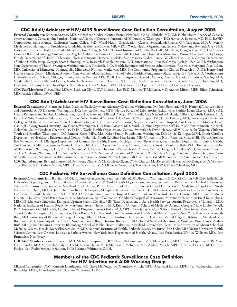## **CDC Adult/Adolescent HIV/AIDS Surveillance Case Definition Consultation, August 2005**

**External Consultants:** Kathryn Anastos, MD, Montefiore Medical Center, Bronx, New York; Chris Archibald, MDCM, Public Health Agency of Canada, Ottawa, Ontario, Canada; John Barnhart, National Alliance of State and Territorial AIDS Directors, Washington, DC; Samuel A. Bozzette, MD, PhD, RAND Corporation, Santa Monica, California; Txema Calleja, MD, World Health Organization, Geneva, Switzerland; Charles C.J. Carpenter, MD, University Medicine Foundation, Inc., Providence, Rhode Island; Siobhan Crowley, MB, MRCP, World Health Organization, Geneva, Switzerland; Richard Davey, MD, National Institues of Health, Bethesda, Maryland; Eric A. Engels, MD, National Institutes of Health, Rockville, Maryland; Douglas Frye, MD, Los Angeles County HIV Epidemiology Program, Los Angeles, California; Donna Futterman, MD, Children's Hospital at Montefiore, Bronx, New York; Becky Grigg, Florida Department of Health, Tallahassee, Florida; Françoise Hamers, EuroHIV, Saint Maurice Cedex, France; W. Claire Hicks, MD, Georgia Department of Public Health, Jesup, Georgia; Scott Holmberg, MD, Research Triangle Institute (RTI) International, Atlanta, Georgia; Jack Jourden, MPH, Washington State Department of Health, Olympia, Washington; Alice Kroliczak, PhD, Health Resources and Services Adminstration, Rockville, Maryland; Alan Lifson, MD, University of Minnesota, Minneapolis, Minnesota; Norman Markowitz, MD, The Community Program for Clinical Research on AIDS, Henry Ford Health System, Detroit, Michigan; Anthony Merriweather, Alabama Department of Public Health, Montgomery, Alabama; Frank J. Palella, MD, Northwestern University Medical School, Chicago, Illinois; Jennifer Pennock, MSc, Public Health Agency of Canada, Ottawa, Ontario, Canada; Timothy R. Sterling, MD, Vanderbilt University Medical Center, Nashville, Tenessee; Karen T. Tashima, MD, Brown Medical School, Providence, Rhode Island; Pablo Tebas, MD, University of Pennsylvania, Philadelphia, Pennsylvania; Lucia V. Torian, PhD, New York City Department of Health, New York, New York. **CDC Staff Members:** Theresa Diaz, MD; M. Kathleen Glynn, DVM; Lisa M. Lee, PhD; Matthew T. McKenna, MD; Andrew Mitsch, MPH; Eileen Schneider, MD; Patrick Sullivan, DVM, PhD.

#### **CDC Adult/Adolescent HIV Surveillance Case Definition Consultation, June 2006**

**External Consultants:** A. Cornelius Baker, National Black Gay Men's Advocacy Coalition, Washington, DC; John Barnhart, MPH, National Alliance of State and Territorial AIDS Directors, Washington, DC; Spencer Bennett, MPH, Florida Bureau of Laboratories, Jacksonville, Florida; Laura Cheever, MD, ScM, Health Resources and Services Adminstration, Rockville, Maryland; Michael D'Arata, FNP, Family Care Network, Oakland, California; Isabelle Devaux, PhD, EuroHIV, Saint Maurice Cedex, France; Damon Dozier, National Minority AIDS Council, Washington, DC; Judith Feinberg, MD, University of Cincinnati College of Medicine, Cincinnati, Ohio; Eberhard Fiebig, MD, University of California, San Francisco General Hospital, San Francisco, California; Lance Gable, JD, Georgetown University Law Center, Washington, DC; James Gibson, MD, South Carolina Department of Health and Environmental Control, Columbia, South Carolina; Charles Gilks, D Phil, World Health Organization, Geneva, Switzerland; David Harvey, AIDS Alliance for Women, Children Youth and Families, Washington, DC; Jennifer Kates, MPA, MA, Kaiser Family Foundation, Washington, DC; Lynda Kettinger, MPH, South Carolina Department of Health and Environmental Control, Columbia, South Carolina; Peter Leone, MD, University of North Carolina, Chapel Hill, North Carolina; Eve Mokotoff, MPH, Michigan Department of Community Health, Detroit, Michigan; Israel Nieves-Rivera, San Francisco Department of Public Health, San Francisco, California; Jennifer Pennock, MSc, Public Health Agency of Canada, Ottawa, Ontario, Canada; Monica S. Ruiz, PhD, The Foundation for AIDS Research, Washington, DC; R. Luke Shouse, MD, Georgia Division of Public Health, Atlanta, Georgia; Gregory I. Smiley, MPH, American Academy of HIV Medicine, Washington DC; Andrew Spieldenner, MA, National Association of People With AIDS, Silver Spring, Maryland; Edward Tepporn, Asian & Pacific Islander American Health Forum, San Francisco, California; Steven Tierney, EdD, San Francisco AIDS Foundation, San Francisco, California. **CDC Staff Members:** Bernard Branson, MD; Theresa Diaz, MD; M. Kathleen Glynn, DVM; Duncan MacKellar, MPH; Stephen McDougal, MD; Matthew T. McKenna, MD; Andrew Mitsch, MPH; Allyn Nakashima, MD; Michelle Owen, PhD; Travis Sanchez, DVM; Eileen Schneider, MD.

#### **CDC Pediatric HIV Surveillance Case Definition Consultation, April 2005**

**External Consultants:** John Barnhart, MPH, National Alliance of State and Territorial AIDS Directors, Washington, DC; Mark Cotton MB ChB, Stellenbosch University, Tygerberg, South Africa; Siobhan Crowley, MB, MRCP, World Health Organization, Geneva, Switzerland; Brian Feit, MPA, Health Resources Services Administration, Rockville, Maryland; Susan Fiscus, PhD, University of North Carolina at Chapel Hill School of Medicine, Chapel Hill, North Carolina; Pat Flynn, MD, St. Jude Children's Research Hospital, Memphis, Tennessee; Toni Frederick, PhD, University of Southern California, Los Angeles, California; Edward Handelsman, MD, SUNY Downstate/Kings County Hospital Center, Brooklyn, New York; Celine Hanson, MD, Texas Children's Hospital, Houston, Texas; Peter Havens, MD, Medical College of Wisconsin; Children's Hospital of Wisconsin, Milwaukee, Wisconsin; Israel Kalyesubula, MB ChB, Makerere University, Kampala, Uganda; Sharon Melville, MD, Texas Department of State Health Services, Austin, Texas; Lynne Mofenson, MD, National Institutes of Health, Rockville, Maryland; Steven Nesheim, MD, Emory University School of Medicine, Atlanta, Georgia; Marie-Louise Newell, PhD, Institute of Child Health, London, United Kingdom; James Oleske, MD, MPH, New Jersey Medical School, Newark, New Jersey; Mary Paul, MD, Texas Children's Hospital, Houston, Texas; Vicki Peters, MD, New York City Department of Health and Mental Hygiene, New York, New York; Kenneth Rich, MD, University of Illinois at Chicago, Chicago; Illinois, Damaris Richardson, Department of Health and Mental Hygiene, Baltimore, Maryland; Zoe Rodriguez, MD, University of Puerto Rico, San Juan, Puerto Rico; Christine Rouzioux, PhD, Hôpital Necker–Laboratorie de Virologie, Paris, France; Andrea Ruff, MD, Johns Hopkins University Bloomberg School of Public Health, Baltimore, Maryland; Gwendolyn. Scott, MD, University of Miami School of Medicine, Miami, Florida; Mary Elizabeth Smith, MD, National Institutes of Health, Bethesda, Maryland; Russell Van Dyke, MD, Tulane University Health Sciences Center, New Orleans, Louisiana; Barbara Warren, New York State Department of Health, Albany, New York; Patricia Whitley-Williams, MD, New Brunswick, New Jersey.

**CDC Staff Members:** Bernard Branson, MD; Michael Campsmith, DDS; Kenneth Dominguez, MD; Mary Jo Earp, MPH; Lorena Espinoza, DDS; Mary Glenn Fowler, MD; M. Kathleen Glynn, DVM; Norma Harris, PhD; Matthew T. McKenna, MD; Andrew Mitsch, MPH; Alpa Patel-Larson, MPH; Ruby Phelps; Nan Ruffo; Stephanie Sansom, PhD; Suzanne Whitmore, DrPH.

#### **Members of the CDC Pediatric Surveillance Case Definition for HIV Infection and AIDS Working Group**

Michael Campsmith, DDS; Kenneth Dominguez, MD; Steve McDougal, MD; Andrew Mitsch, MPH; Alpa Patel-Larson, MPH; Nan Ruffo; Alexis Reedy Benavides, MPH; Allan Taylor, MD; Suzanne Whitmore, DrPH.